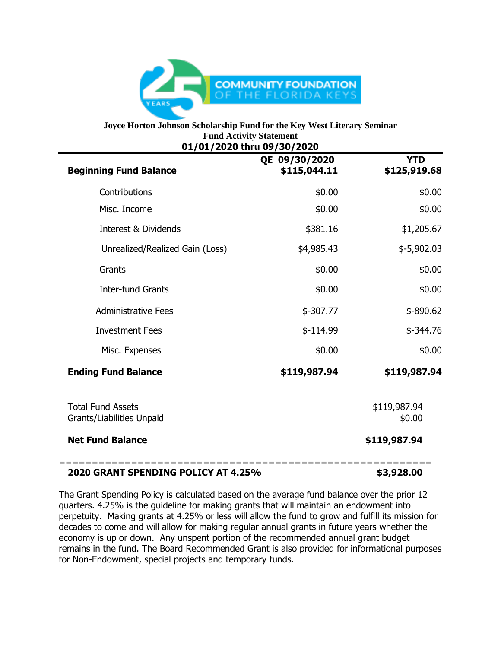

## **Joyce Horton Johnson Scholarship Fund for the Key West Literary Seminar** Fund Activity Statement<br>24.43939.thus.99.439.2939 **01/01/2020 thru 09/30/2020**

| <b>Beginning Fund Balance</b>                         | QE 09/30/2020<br>\$115,044.11 | <b>YTD</b><br>\$125,919.68 |
|-------------------------------------------------------|-------------------------------|----------------------------|
| Contributions                                         | \$0.00                        | \$0.00                     |
| Misc. Income                                          | \$0.00                        | \$0.00                     |
| <b>Interest &amp; Dividends</b>                       | \$381.16                      | \$1,205.67                 |
| Unrealized/Realized Gain (Loss)                       | \$4,985.43                    | $$-5,902.03$               |
| Grants                                                | \$0.00                        | \$0.00                     |
| <b>Inter-fund Grants</b>                              | \$0.00                        | \$0.00                     |
| <b>Administrative Fees</b>                            | $$-307.77$                    | $$ -890.62$                |
| <b>Investment Fees</b>                                | $$-114.99$                    | $$ -344.76$                |
| Misc. Expenses                                        | \$0.00                        | \$0.00                     |
| <b>Ending Fund Balance</b>                            | \$119,987.94                  | \$119,987.94               |
| <b>Total Fund Assets</b><br>Grants/Liabilities Unpaid |                               | \$119,987.94<br>\$0.00     |
| <b>Net Fund Balance</b>                               |                               | \$119,987.94               |

## **2020 GRANT SPENDING POLICY AT 4.25% \$3,928.00**

The Grant Spending Policy is calculated based on the average fund balance over the prior 12 quarters. 4.25% is the guideline for making grants that will maintain an endowment into perpetuity. Making grants at 4.25% or less will allow the fund to grow and fulfill its mission for decades to come and will allow for making regular annual grants in future years whether the economy is up or down. Any unspent portion of the recommended annual grant budget remains in the fund. The Board Recommended Grant is also provided for informational purposes for Non-Endowment, special projects and temporary funds.